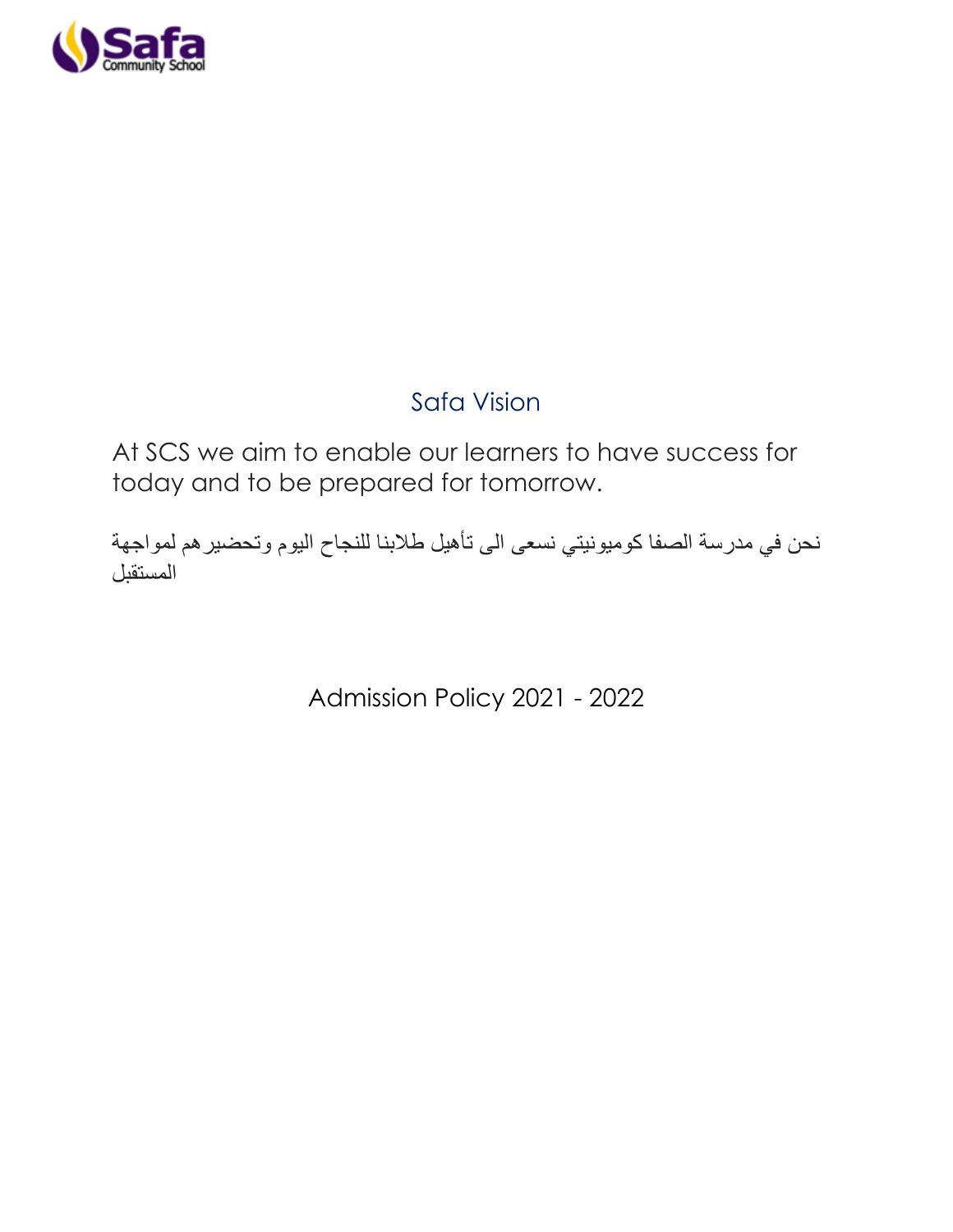

# Safa Vision

At SCS we aim to enable our learners to have success for today and to be prepared for tomorrow.

نحن في مدرسة الصفا كوميونيتي نسعى الى تأهيل طالبنا للنجاح اليوم وتحضيرهم لمواجهة المستقبل

Admission Policy 2021 - 2022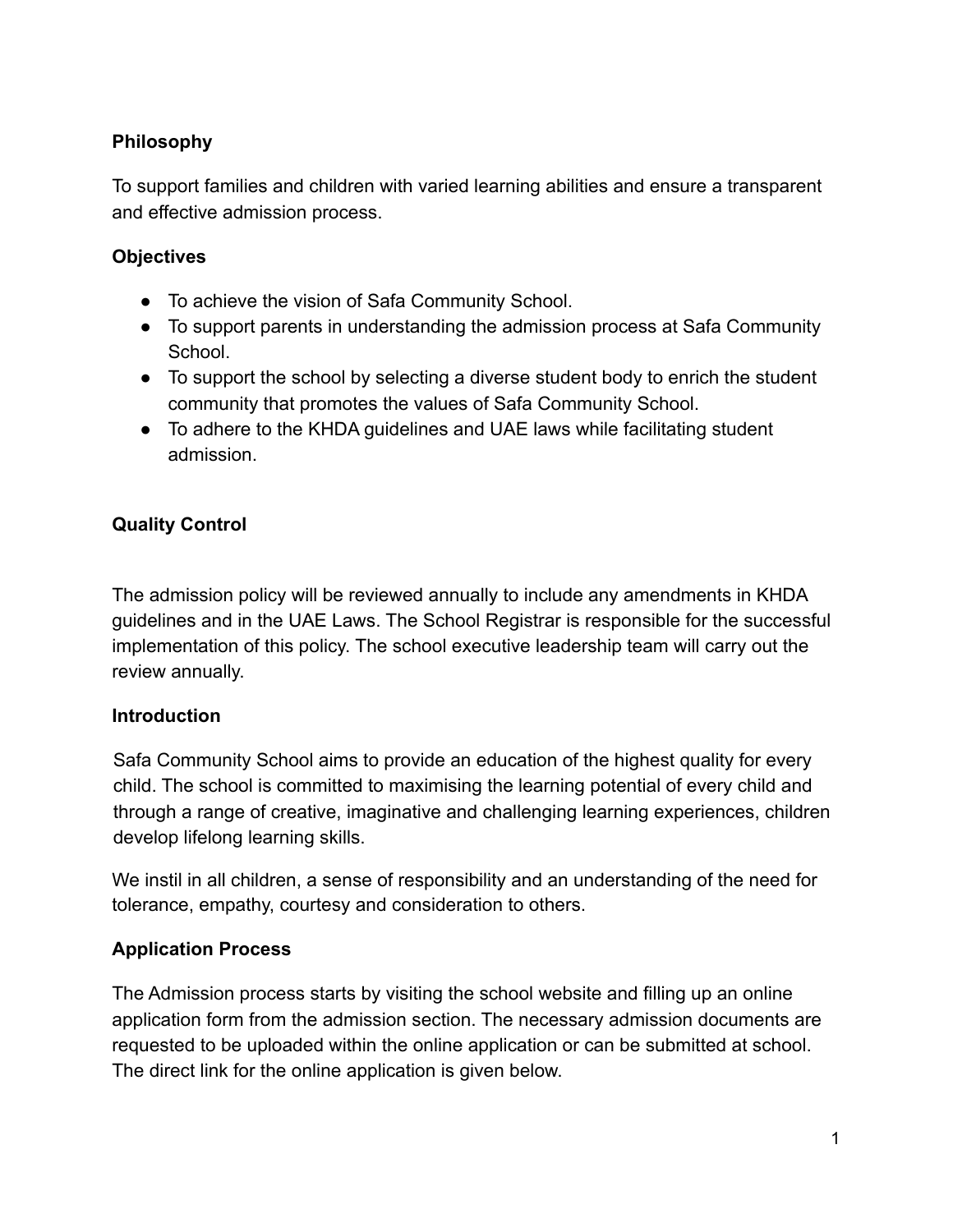## **Philosophy**

To support families and children with varied learning abilities and ensure a transparent and effective admission process.

### **Objectives**

- To achieve the vision of Safa Community School.
- To support parents in understanding the admission process at Safa Community School.
- To support the school by selecting a diverse student body to enrich the student community that promotes the values of Safa Community School.
- To adhere to the KHDA guidelines and UAE laws while facilitating student admission.

## **Quality Control**

The admission policy will be reviewed annually to include any amendments in KHDA guidelines and in the UAE Laws. The School Registrar is responsible for the successful implementation of this policy. The school executive leadership team will carry out the review annually.

#### **Introduction**

Safa Community School aims to provide an education of the highest quality for every child. The school is committed to maximising the learning potential of every child and through a range of creative, imaginative and challenging learning experiences, children develop lifelong learning skills.

We instil in all children, a sense of responsibility and an understanding of the need for tolerance, empathy, courtesy and consideration to others.

## **Application Process**

The Admission process starts by visiting the school website and filling up an online application form from the admission section. The necessary admission documents are requested to be uploaded within the online application or can be submitted at school. The direct link for the online application is given below.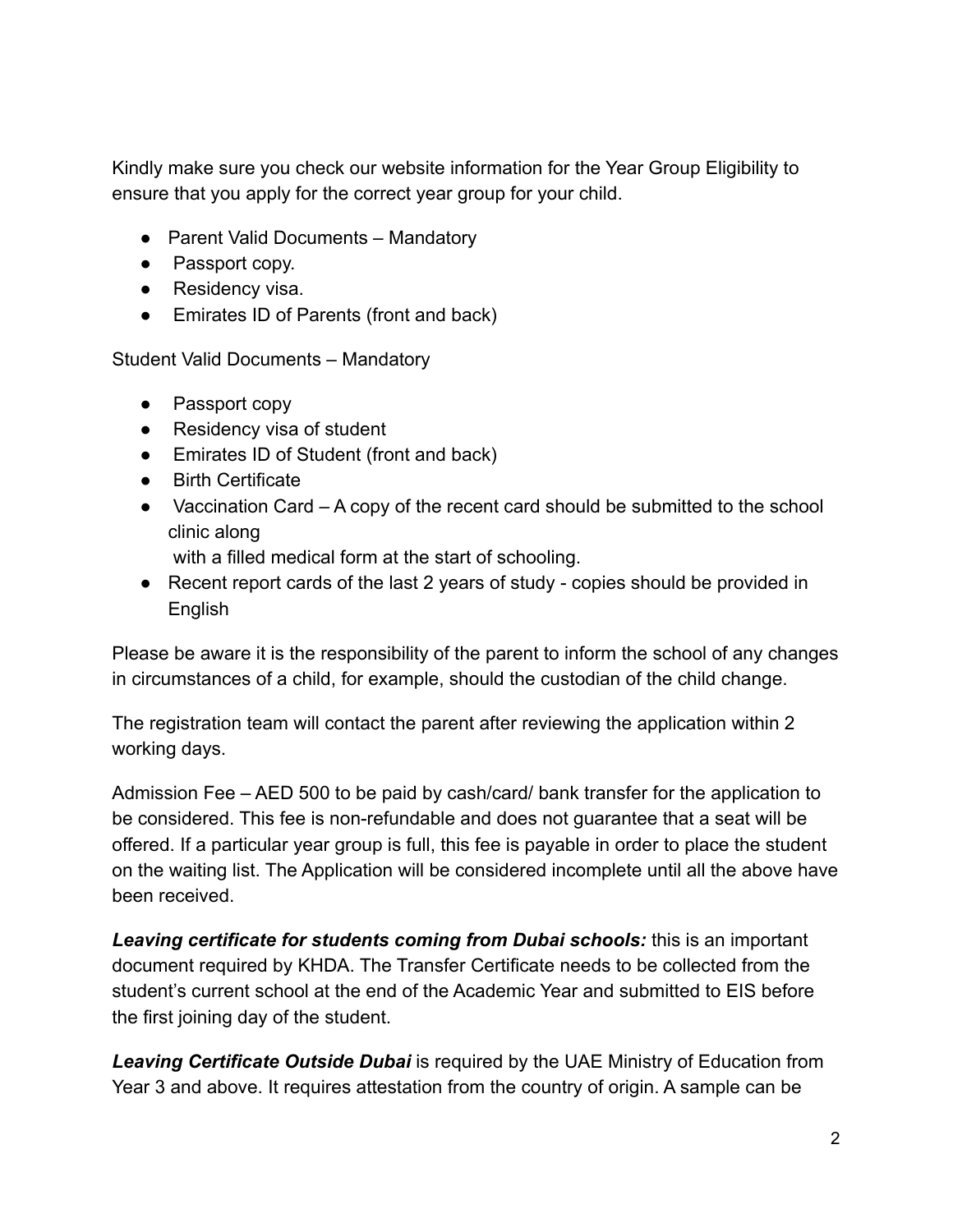Kindly make sure you check our website information for the Year Group Eligibility to ensure that you apply for the correct year group for your child.

- Parent Valid Documents Mandatory
- Passport copy.
- Residency visa.
- Emirates ID of Parents (front and back)

Student Valid Documents – Mandatory

- Passport copy
- Residency visa of student
- Emirates ID of Student (front and back)
- Birth Certificate
- Vaccination Card A copy of the recent card should be submitted to the school clinic along

with a filled medical form at the start of schooling.

● Recent report cards of the last 2 years of study - copies should be provided in **English** 

Please be aware it is the responsibility of the parent to inform the school of any changes in circumstances of a child, for example, should the custodian of the child change.

The registration team will contact the parent after reviewing the application within 2 working days.

Admission Fee – AED 500 to be paid by cash/card/ bank transfer for the application to be considered. This fee is non-refundable and does not guarantee that a seat will be offered. If a particular year group is full, this fee is payable in order to place the student on the waiting list. The Application will be considered incomplete until all the above have been received.

*Leaving certificate for students coming from Dubai schools:* this is an important document required by KHDA. The Transfer Certificate needs to be collected from the student's current school at the end of the Academic Year and submitted to EIS before the first joining day of the student.

*Leaving Certificate Outside Dubai* is required by the UAE Ministry of Education from Year 3 and above. It requires attestation from the country of origin. A sample can be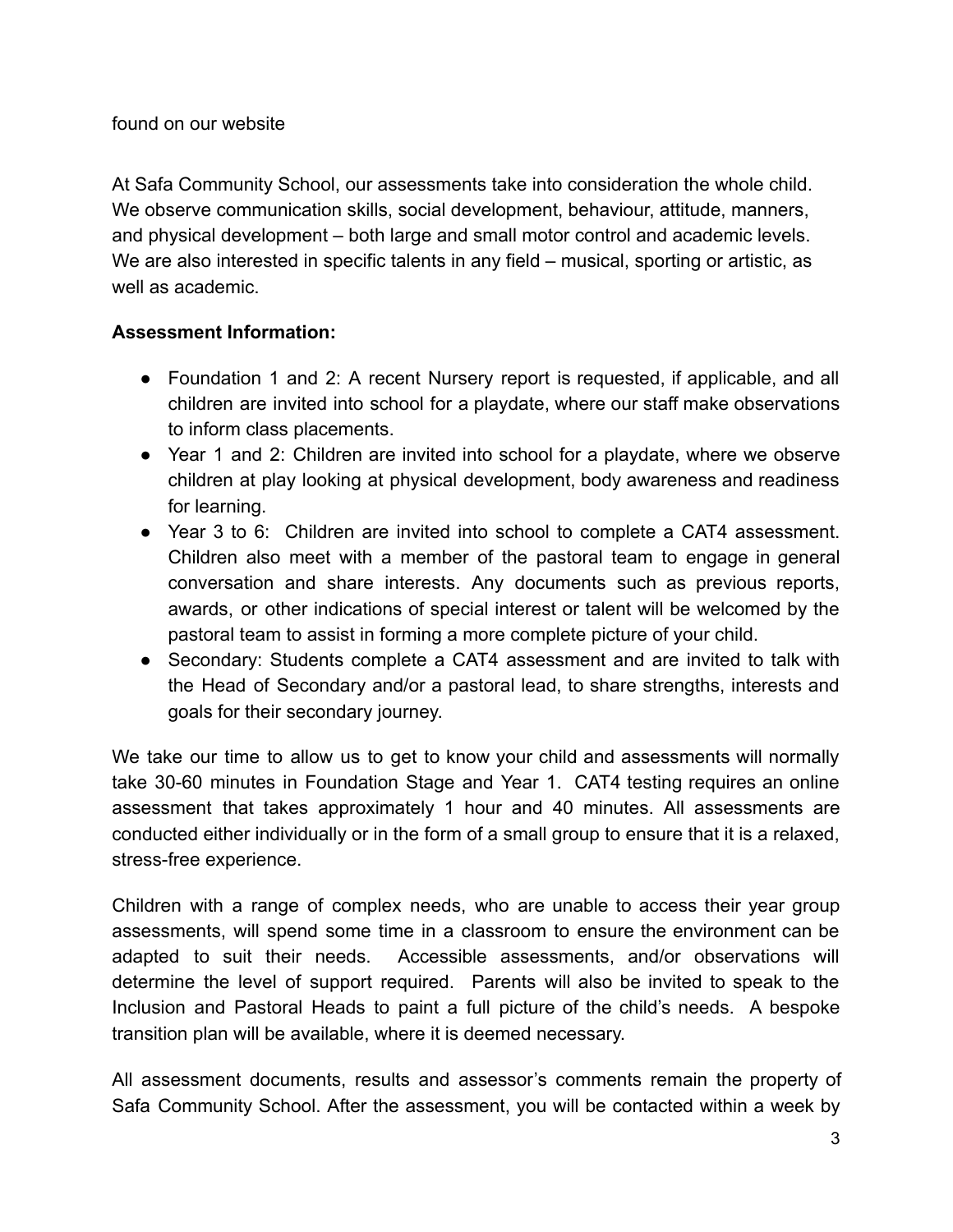At Safa Community School, our assessments take into consideration the whole child. We observe communication skills, social development, behaviour, attitude, manners, and physical development – both large and small motor control and academic levels. We are also interested in specific talents in any field – musical, sporting or artistic, as well as academic.

## **Assessment Information:**

- Foundation 1 and 2: A recent Nursery report is requested, if applicable, and all children are invited into school for a playdate, where our staff make observations to inform class placements.
- Year 1 and 2: Children are invited into school for a playdate, where we observe children at play looking at physical development, body awareness and readiness for learning.
- Year 3 to 6: Children are invited into school to complete a CAT4 assessment. Children also meet with a member of the pastoral team to engage in general conversation and share interests. Any documents such as previous reports, awards, or other indications of special interest or talent will be welcomed by the pastoral team to assist in forming a more complete picture of your child.
- Secondary: Students complete a CAT4 assessment and are invited to talk with the Head of Secondary and/or a pastoral lead, to share strengths, interests and goals for their secondary journey.

We take our time to allow us to get to know your child and assessments will normally take 30-60 minutes in Foundation Stage and Year 1. CAT4 testing requires an online assessment that takes approximately 1 hour and 40 minutes. All assessments are conducted either individually or in the form of a small group to ensure that it is a relaxed, stress-free experience.

Children with a range of complex needs, who are unable to access their year group assessments, will spend some time in a classroom to ensure the environment can be adapted to suit their needs. Accessible assessments, and/or observations will determine the level of support required. Parents will also be invited to speak to the Inclusion and Pastoral Heads to paint a full picture of the child's needs. A bespoke transition plan will be available, where it is deemed necessary.

All assessment documents, results and assessor's comments remain the property of Safa Community School. After the assessment, you will be contacted within a week by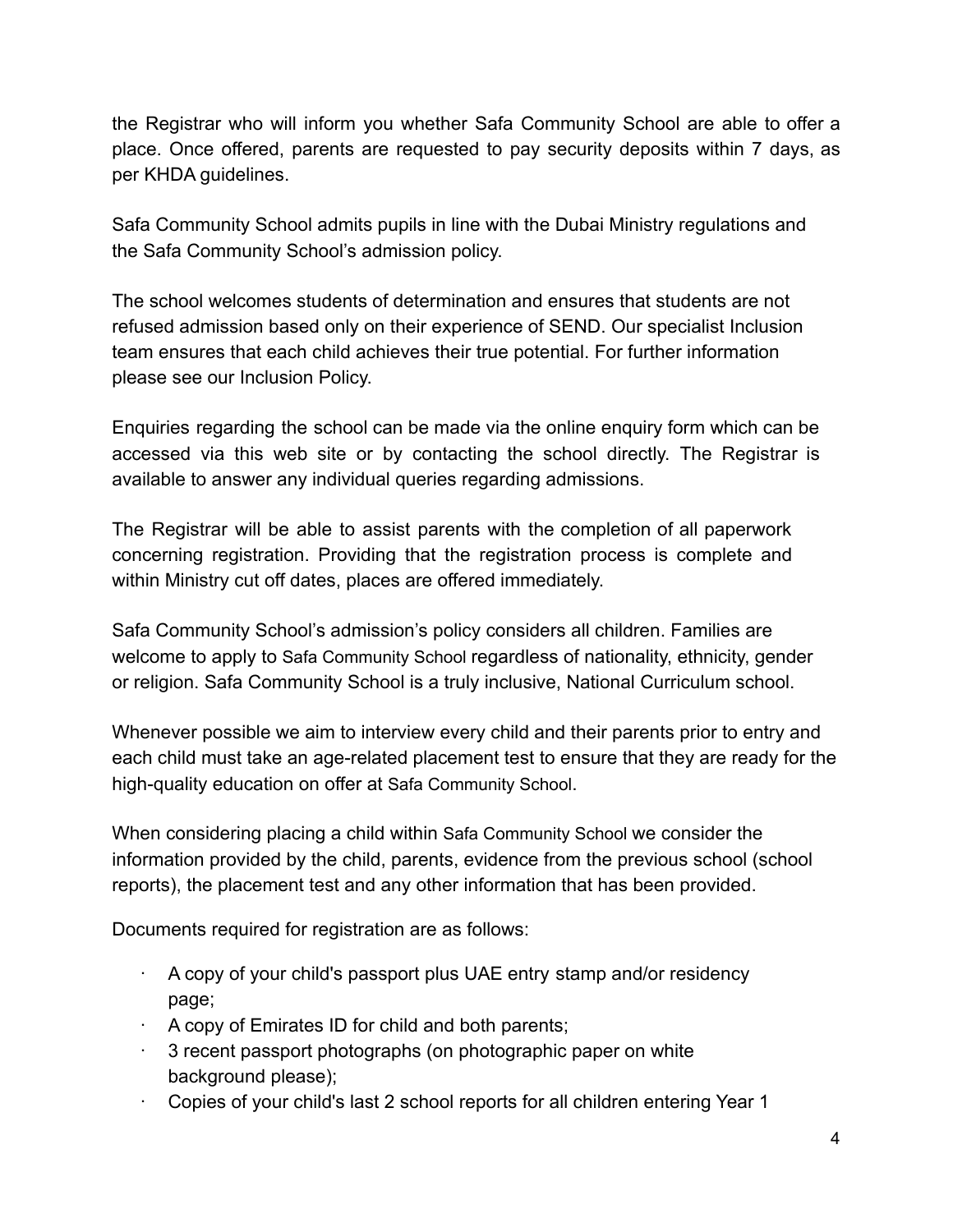the Registrar who will inform you whether Safa Community School are able to offer a place. Once offered, parents are requested to pay security deposits within 7 days, as per KHDA guidelines.

Safa Community School admits pupils in line with the Dubai Ministry regulations and the Safa Community School's admission policy.

The school welcomes students of determination and ensures that students are not refused admission based only on their experience of SEND. Our specialist Inclusion team ensures that each child achieves their true potential. For further information please see our Inclusion Policy.

Enquiries regarding the school can be made via the online enquiry form which can be accessed via this web site or by contacting the school directly. The Registrar is available to answer any individual queries regarding admissions.

The Registrar will be able to assist parents with the completion of all paperwork concerning registration. Providing that the registration process is complete and within Ministry cut off dates, places are offered immediately.

Safa Community School's admission's policy considers all children. Families are welcome to apply to Safa Community School regardless of nationality, ethnicity, gender or religion. Safa Community School is a truly inclusive, National Curriculum school.

Whenever possible we aim to interview every child and their parents prior to entry and each child must take an age-related placement test to ensure that they are ready for the high-quality education on offer at Safa Community School.

When considering placing a child within Safa Community School we consider the information provided by the child, parents, evidence from the previous school (school reports), the placement test and any other information that has been provided.

Documents required for registration are as follows:

- · A copy of your child's passport plus UAE entry stamp and/or residency page;
- · A copy of Emirates ID for child and both parents;
- · 3 recent passport photographs (on photographic paper on white background please);
- · Copies of your child's last 2 school reports for all children entering Year 1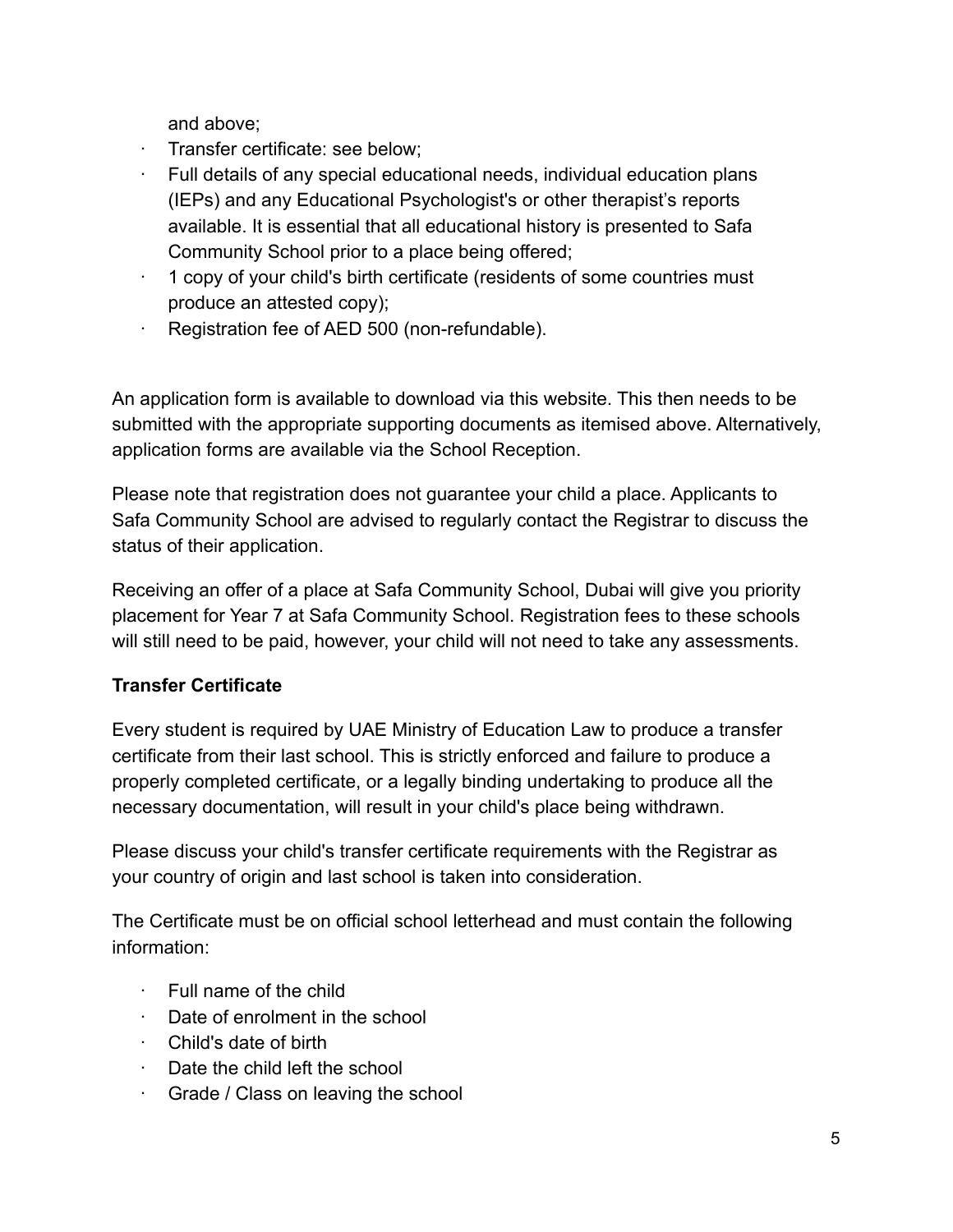and above;

- · Transfer certificate: see below;
- · Full details of any special educational needs, individual education plans (IEPs) and any Educational Psychologist's or other therapist's reports available. It is essential that all educational history is presented to Safa Community School prior to a place being offered;
- · 1 copy of your child's birth certificate (residents of some countries must produce an attested copy);
- Registration fee of AED 500 (non-refundable).

An application form is available to download via this website. This then needs to be submitted with the appropriate supporting documents as itemised above. Alternatively, application forms are available via the School Reception.

Please note that registration does not guarantee your child a place. Applicants to Safa Community School are advised to regularly contact the Registrar to discuss the status of their application.

Receiving an offer of a place at Safa Community School, Dubai will give you priority placement for Year 7 at Safa Community School. Registration fees to these schools will still need to be paid, however, your child will not need to take any assessments.

## **Transfer Certificate**

Every student is required by UAE Ministry of Education Law to produce a transfer certificate from their last school. This is strictly enforced and failure to produce a properly completed certificate, or a legally binding undertaking to produce all the necessary documentation, will result in your child's place being withdrawn.

Please discuss your child's transfer certificate requirements with the Registrar as your country of origin and last school is taken into consideration.

The Certificate must be on official school letterhead and must contain the following information:

- · Full name of the child
- · Date of enrolment in the school
- · Child's date of birth
- · Date the child left the school
- · Grade / Class on leaving the school